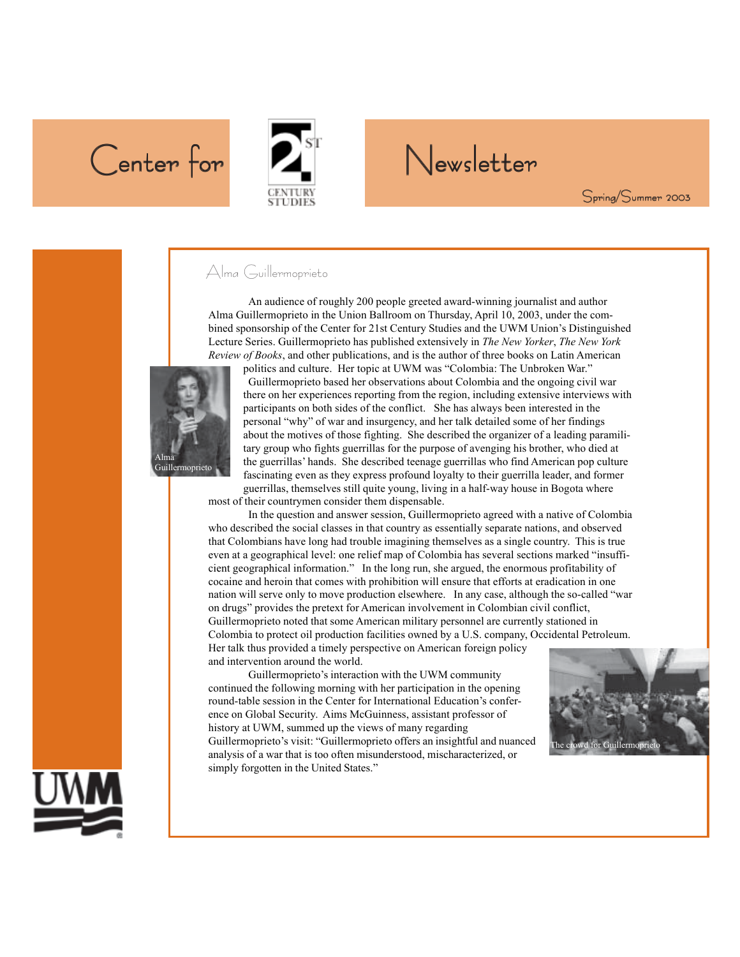# Center for **PA** Newsletter



Spring/Summer 2003

#### Alma Guillermoprieto

An audience of roughly 200 people greeted award-winning journalist and author Alma Guillermoprieto in the Union Ballroom on Thursday, April 10, 2003, under the combined sponsorship of the Center for 21st Century Studies and the UWM Union's Distinguished Lecture Series. Guillermoprieto has published extensively in *The New Yorker*, *The New York Review of Books*, and other publications, and is the author of three books on Latin American



politics and culture. Her topic at UWM was "Colombia: The Unbroken War." Guillermoprieto based her observations about Colombia and the ongoing civil war there on her experiences reporting from the region, including extensive interviews with participants on both sides of the conflict. She has always been interested in the personal "why" of war and insurgency, and her talk detailed some of her findings about the motives of those fighting. She described the organizer of a leading paramilitary group who fights guerrillas for the purpose of avenging his brother, who died at the guerrillas' hands. She described teenage guerrillas who find American pop culture fascinating even as they express profound loyalty to their guerrilla leader, and former guerrillas, themselves still quite young, living in a half-way house in Bogota where

most of their countrymen consider them dispensable.

In the question and answer session, Guillermoprieto agreed with a native of Colombia who described the social classes in that country as essentially separate nations, and observed that Colombians have long had trouble imagining themselves as a single country. This is true even at a geographical level: one relief map of Colombia has several sections marked "insufficient geographical information." In the long run, she argued, the enormous profitability of cocaine and heroin that comes with prohibition will ensure that efforts at eradication in one nation will serve only to move production elsewhere. In any case, although the so-called "war on drugs" provides the pretext for American involvement in Colombian civil conflict, Guillermoprieto noted that some American military personnel are currently stationed in Colombia to protect oil production facilities owned by a U.S. company, Occidental Petroleum. Her talk thus provided a timely perspective on American foreign policy and intervention around the world.

Guillermoprieto's interaction with the UWM community continued the following morning with her participation in the opening round-table session in the Center for International Education's conference on Global Security. Aims McGuinness, assistant professor of history at UWM, summed up the views of many regarding Guillermoprieto's visit: "Guillermoprieto offers an insightful and nuanced analysis of a war that is too often misunderstood, mischaracterized, or simply forgotten in the United States."



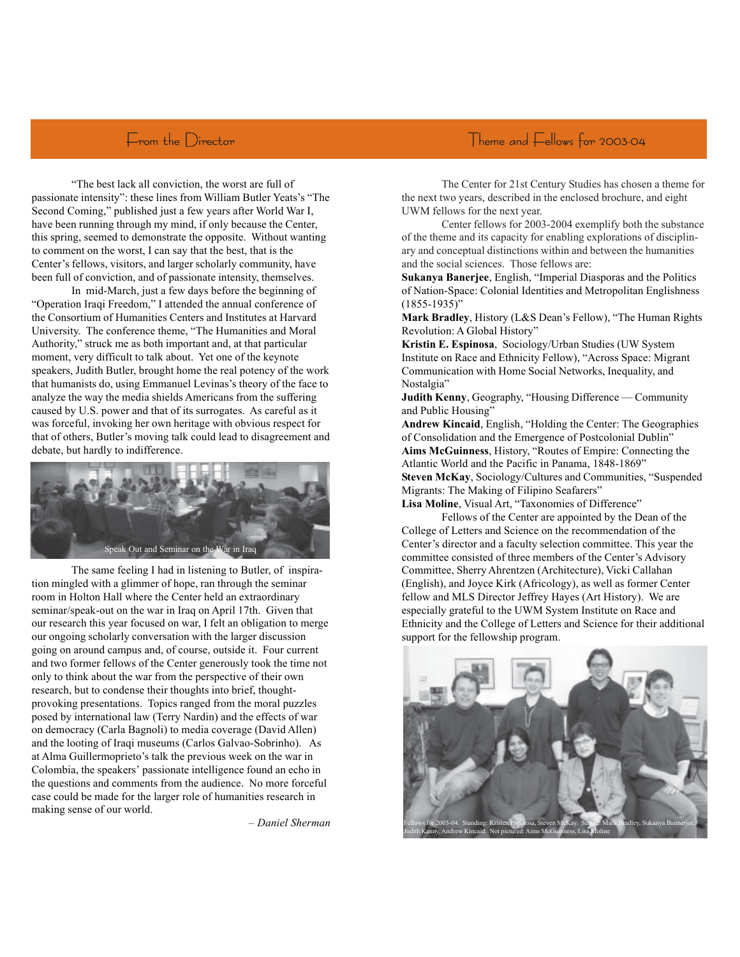"The best lack all conviction, the worst are full of passionate intensity": these lines from William Butler Yeats's "The Second Coming," published just a few years after World War I, have been running through my mind, if only because the Center, this spring, seemed to demonstrate the opposite. Without wanting to comment on the worst, I can say that the best, that is the Center's fellows, visitors, and larger scholarly community, have been full of conviction, and of passionate intensity, themselves.

In mid-March, just a few days before the beginning of "Operation Iraqi Freedom," I attended the annual conference of the Consortium of Humanities Centers and Institutes at Harvard University. The conference theme, "The Humanities and Moral Authority," struck me as both important and, at that particular moment, very difficult to talk about. Yet one of the keynote speakers, Judith Butler, brought home the real potency of the work that humanists do, using Emmanuel Levinas's theory of the face to analyze the way the media shields Americans from the suffering caused by U.S. power and that of its surrogates. As careful as it was forceful, invoking her own heritage with obvious respect for that of others, Butler's moving talk could lead to disagreement and debate, but hardly to indifference.



The same feeling I had in listening to Butler, of inspiration mingled with a glimmer of hope, ran through the seminar room in Holton Hall where the Center held an extraordinary seminar/speak-out on the war in Iraq on April 17th. Given that our research this year focused on war, I felt an obligation to merge our ongoing scholarly conversation with the larger discussion going on around campus and, of course, outside it. Four current and two former fellows of the Center generously took the time not only to think about the war from the perspective of their own research, but to condense their thoughts into brief, thoughtprovoking presentations. Topics ranged from the moral puzzles posed by international law (Terry Nardin) and the effects of war on democracy (Carla Bagnoli) to media coverage (David Allen) and the looting of Iraqi museums (Carlos Galvao-Sobrinho). As at Alma Guillermoprieto's talk the previous week on the war in Colombia, the speakers' passionate intelligence found an echo in the questions and comments from the audience. No more forceful case could be made for the larger role of humanities research in making sense of our world.

– *Daniel Sherman*

The Center for 21st Century Studies has chosen a theme for the next two years, described in the enclosed brochure, and eight UWM fellows for the next year.

Center fellows for 2003-2004 exemplify both the substance of the theme and its capacity for enabling explorations of disciplinary and conceptual distinctions within and between the humanities and the social sciences. Those fellows are:

**Sukanya Banerjee**, English, "Imperial Diasporas and the Politics of Nation-Space: Colonial Identities and Metropolitan Englishness (1855-1935)"

**Mark Bradley**, History (L&S Dean's Fellow), "The Human Rights Revolution: A Global History"

**Kristin E. Espinosa**, Sociology/Urban Studies (UW System Institute on Race and Ethnicity Fellow), "Across Space: Migrant Communication with Home Social Networks, Inequality, and Nostalgia"

**Judith Kenny**, Geography, "Housing Difference — Community and Public Housing"

**Andrew Kincaid**, English, "Holding the Center: The Geographies of Consolidation and the Emergence of Postcolonial Dublin" **Aims McGuinness**, History, "Routes of Empire: Connecting the Atlantic World and the Pacific in Panama, 1848-1869" **Steven McKay**, Sociology/Cultures and Communities, "Suspended Migrants: The Making of Filipino Seafarers"

**Lisa Moline**, Visual Art, "Taxonomies of Difference"

Fellows of the Center are appointed by the Dean of the College of Letters and Science on the recommendation of the Center's director and a faculty selection committee. This year the committee consisted of three members of the Center's Advisory Committee, Sherry Ahrentzen (Architecture), Vicki Callahan (English), and Joyce Kirk (Africology), as well as former Center fellow and MLS Director Jeffrey Hayes (Art History). We are especially grateful to the UWM System Institute on Race and Ethnicity and the College of Letters and Science for their additional support for the fellowship program.

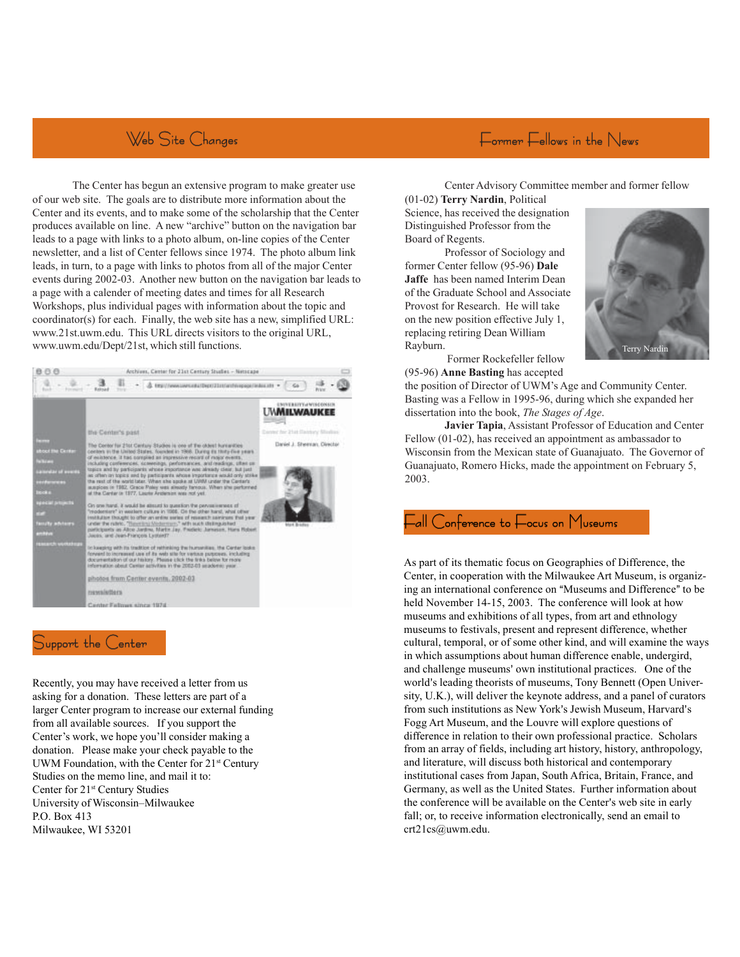# Web Site Changes

The Center has begun an extensive program to make greater use of our web site. The goals are to distribute more information about the Center and its events, and to make some of the scholarship that the Center produces available on line. A new "archive" button on the navigation bar leads to a page with links to a photo album, on-line copies of the Center newsletter, and a list of Center fellows since 1974. The photo album link leads, in turn, to a page with links to photos from all of the major Center events during 2002-03. Another new button on the navigation bar leads to a page with a calender of meeting dates and times for all Research Workshops, plus individual pages with information about the topic and coordinator(s) for each. Finally, the web site has a new, simplified URL: www.21st.uwm.edu. This URL directs visitors to the original URL, www.uwm.edu/Dept/21st, which still functions.



#### Support the Center

Recently, you may have received a letter from us asking for a donation. These letters are part of a larger Center program to increase our external funding from all available sources. If you support the Center's work, we hope you'll consider making a donation. Please make your check payable to the UWM Foundation, with the Center for 21<sup>st</sup> Century Studies on the memo line, and mail it to: Center for 21st Century Studies University of Wisconsin–Milwaukee P.O. Box 413 Milwaukee, WI 53201

## $E_{\text{ormer}} E_{\text{ellows in the News}}$

Center Advisory Committee member and former fellow

(01-02) **Terry Nardin**, Political Science, has received the designation Distinguished Professor from the Board of Regents.

Professor of Sociology and former Center fellow (95-96) **Dale Jaffe** has been named Interim Dean of the Graduate School and Associate Provost for Research. He will take on the new position effective July 1, replacing retiring Dean William Rayburn.



 Former Rockefeller fellow (95-96) **Anne Basting** has accepted

the position of Director of UWM's Age and Community Center. Basting was a Fellow in 1995-96, during which she expanded her dissertation into the book, *The Stages of Age*.

**Javier Tapia**, Assistant Professor of Education and Center Fellow (01-02), has received an appointment as ambassador to Wisconsin from the Mexican state of Guanajuato. The Governor of Guanajuato, Romero Hicks, made the appointment on February 5, 2003.

#### -all Conference to Focus on Museums

As part of its thematic focus on Geographies of Difference, the Center, in cooperation with the Milwaukee Art Museum, is organizing an international conference on "Museums and Difference" to be held November 14-15, 2003. The conference will look at how museums and exhibitions of all types, from art and ethnology museums to festivals, present and represent difference, whether cultural, temporal, or of some other kind, and will examine the ways in which assumptions about human difference enable, undergird, and challenge museums' own institutional practices. One of the world's leading theorists of museums, Tony Bennett (Open University, U.K.), will deliver the keynote address, and a panel of curators from such institutions as New York's Jewish Museum, Harvard's Fogg Art Museum, and the Louvre will explore questions of difference in relation to their own professional practice. Scholars from an array of fields, including art history, history, anthropology, and literature, will discuss both historical and contemporary institutional cases from Japan, South Africa, Britain, France, and Germany, as well as the United States. Further information about the conference will be available on the Center's web site in early fall; or, to receive information electronically, send an email to crt21cs@uwm.edu.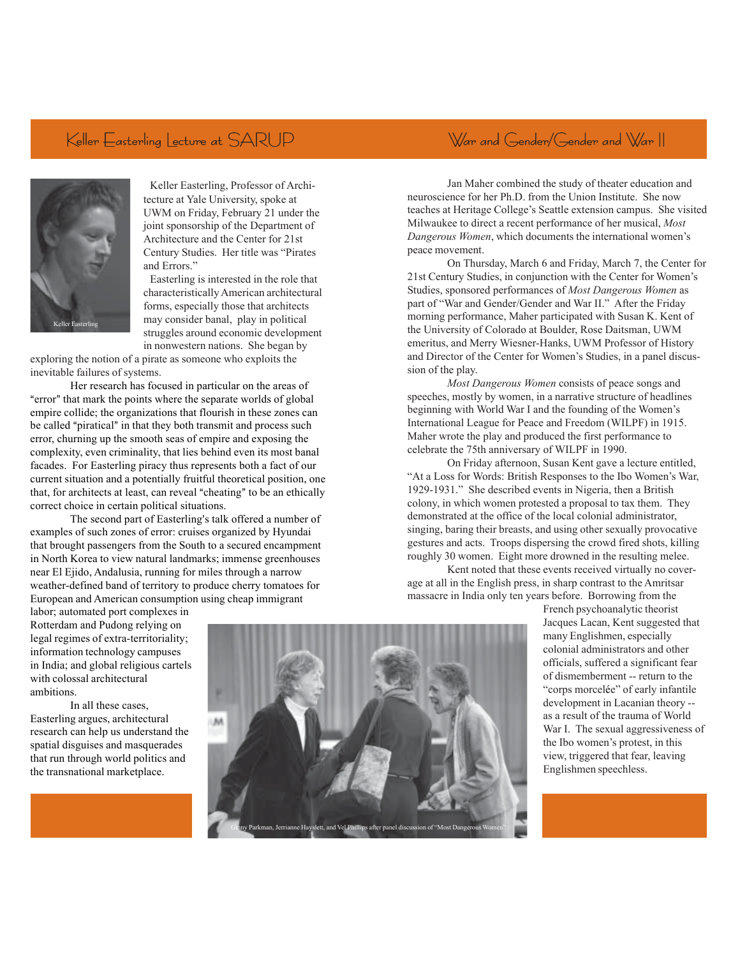### Keller Easterling Lecture at SARUP



Keller Easterling, Professor of Architecture at Yale University, spoke at UWM on Friday, February 21 under the joint sponsorship of the Department of Architecture and the Center for 21st Century Studies. Her title was "Pirates and Errors."

Easterling is interested in the role that characteristically American architectural forms, especially those that architects may consider banal, play in political struggles around economic development in nonwestern nations. She began by

exploring the notion of a pirate as someone who exploits the inevitable failures of systems.

Her research has focused in particular on the areas of "error" that mark the points where the separate worlds of global empire collide; the organizations that flourish in these zones can be called "piratical" in that they both transmit and process such error, churning up the smooth seas of empire and exposing the complexity, even criminality, that lies behind even its most banal facades. For Easterling piracy thus represents both a fact of our current situation and a potentially fruitful theoretical position, one that, for architects at least, can reveal "cheating" to be an ethically correct choice in certain political situations.

The second part of Easterling's talk offered a number of examples of such zones of error: cruises organized by Hyundai that brought passengers from the South to a secured encampment in North Korea to view natural landmarks; immense greenhouses near El Ejido, Andalusia, running for miles through a narrow weather-defined band of territory to produce cherry tomatoes for European and American consumption using cheap immigrant

Jan Maher combined the study of theater education and neuroscience for her Ph.D. from the Union Institute. She now teaches at Heritage College's Seattle extension campus. She visited Milwaukee to direct a recent performance of her musical, *Most Dangerous Women*, which documents the international women's peace movement.

War and Gender/Gender and War II

On Thursday, March 6 and Friday, March 7, the Center for 21st Century Studies, in conjunction with the Center for Women's Studies, sponsored performances of *Most Dangerous Women* as part of "War and Gender/Gender and War II." After the Friday morning performance, Maher participated with Susan K. Kent of the University of Colorado at Boulder, Rose Daitsman, UWM emeritus, and Merry Wiesner-Hanks, UWM Professor of History and Director of the Center for Women's Studies, in a panel discussion of the play.

*Most Dangerous Women* consists of peace songs and speeches, mostly by women, in a narrative structure of headlines beginning with World War I and the founding of the Women's International League for Peace and Freedom (WILPF) in 1915. Maher wrote the play and produced the first performance to celebrate the 75th anniversary of WILPF in 1990.

On Friday afternoon, Susan Kent gave a lecture entitled, "At a Loss for Words: British Responses to the Ibo Women's War, 1929-1931." She described events in Nigeria, then a British colony, in which women protested a proposal to tax them. They demonstrated at the office of the local colonial administrator, singing, baring their breasts, and using other sexually provocative gestures and acts. Troops dispersing the crowd fired shots, killing roughly 30 women. Eight more drowned in the resulting melee.

Kent noted that these events received virtually no coverage at all in the English press, in sharp contrast to the Amritsar massacre in India only ten years before. Borrowing from the

labor; automated port complexes in Rotterdam and Pudong relying on legal regimes of extra-territoriality; information technology campuses in India; and global religious cartels with colossal architectural ambitions.

In all these cases, Easterling argues, architectural research can help us understand the spatial disguises and masquerades that run through world politics and the transnational marketplace.



French psychoanalytic theorist Jacques Lacan, Kent suggested that many Englishmen, especially colonial administrators and other officials, suffered a significant fear of dismemberment -- return to the "corps morcelée" of early infantile development in Lacanian theory - as a result of the trauma of World War I. The sexual aggressiveness of the Ibo women's protest, in this view, triggered that fear, leaving Englishmen speechless.